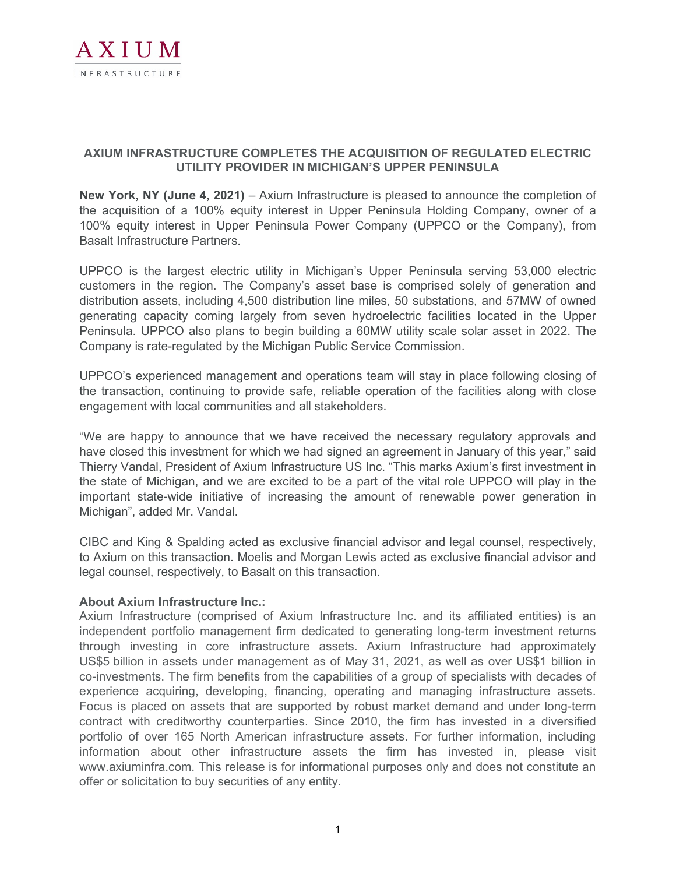

## **AXIUM INFRASTRUCTURE COMPLETES THE ACQUISITION OF REGULATED ELECTRIC UTILITY PROVIDER IN MICHIGAN'S UPPER PENINSULA**

**New York, NY (June 4, 2021)** – Axium Infrastructure is pleased to announce the completion of the acquisition of a 100% equity interest in Upper Peninsula Holding Company, owner of a 100% equity interest in Upper Peninsula Power Company (UPPCO or the Company), from Basalt Infrastructure Partners.

UPPCO is the largest electric utility in Michigan's Upper Peninsula serving 53,000 electric customers in the region. The Company's asset base is comprised solely of generation and distribution assets, including 4,500 distribution line miles, 50 substations, and 57MW of owned generating capacity coming largely from seven hydroelectric facilities located in the Upper Peninsula. UPPCO also plans to begin building a 60MW utility scale solar asset in 2022. The Company is rate-regulated by the Michigan Public Service Commission.

UPPCO's experienced management and operations team will stay in place following closing of the transaction, continuing to provide safe, reliable operation of the facilities along with close engagement with local communities and all stakeholders.

"We are happy to announce that we have received the necessary regulatory approvals and have closed this investment for which we had signed an agreement in January of this year," said Thierry Vandal, President of Axium Infrastructure US Inc. "This marks Axium's first investment in the state of Michigan, and we are excited to be a part of the vital role UPPCO will play in the important state-wide initiative of increasing the amount of renewable power generation in Michigan", added Mr. Vandal.

CIBC and King & Spalding acted as exclusive financial advisor and legal counsel, respectively, to Axium on this transaction. Moelis and Morgan Lewis acted as exclusive financial advisor and legal counsel, respectively, to Basalt on this transaction.

## **About Axium Infrastructure Inc.:**

Axium Infrastructure (comprised of Axium Infrastructure Inc. and its affiliated entities) is an independent portfolio management firm dedicated to generating long-term investment returns through investing in core infrastructure assets. Axium Infrastructure had approximately US\$5 billion in assets under management as of May 31, 2021, as well as over US\$1 billion in co-investments. The firm benefits from the capabilities of a group of specialists with decades of experience acquiring, developing, financing, operating and managing infrastructure assets. Focus is placed on assets that are supported by robust market demand and under long-term contract with creditworthy counterparties. Since 2010, the firm has invested in a diversified portfolio of over 165 North American infrastructure assets. For further information, including information about other infrastructure assets the firm has invested in, please visit www.axiuminfra.com. This release is for informational purposes only and does not constitute an offer or solicitation to buy securities of any entity.